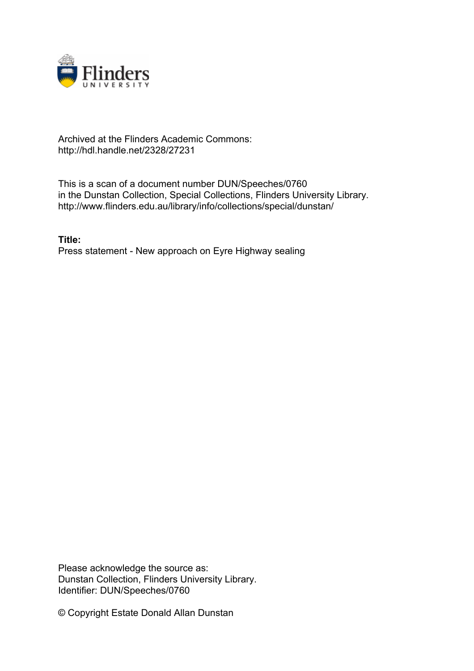

## Archived at the Flinders Academic Commons: http://hdl.handle.net/2328/27231

This is a scan of a document number DUN/Speeches/0760 in the Dunstan Collection, Special Collections, Flinders University Library. http://www.flinders.edu.au/library/info/collections/special/dunstan/

**Title:** Press statement - New approach on Eyre Highway sealing

Please acknowledge the source as: Dunstan Collection, Flinders University Library. Identifier: DUN/Speeches/0760

© Copyright Estate Donald Allan Dunstan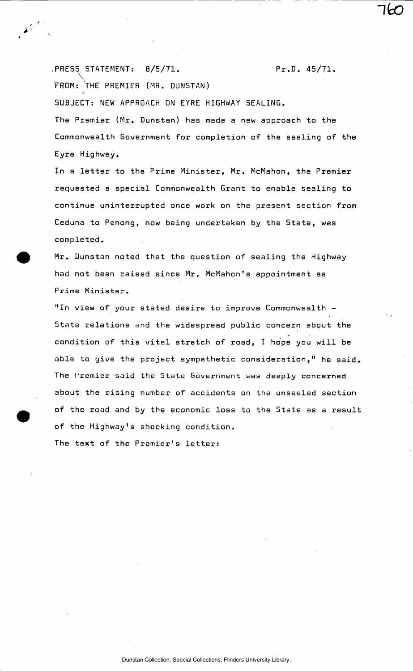,PRESS^ STATEMENT: 8/5/71. Pr.D. 45/71. 'FROM: THE PREMIER (MR. DUNSTAN) SUBJECT: NEW APPROACH ON EYRE HIGHWAY SEALING. The Premier (Mr. Dunstan) has made a new approach to the Commonwealth Government for completion of the sealing of the Eyre Highway.

In a letter to the Prime Minister, Mr. McMahon, the Premier requested a special Commonwealth Grant to enable sealing to continue uninterrupted once work on the present section from Ceduna to Penong, now being undertaken by the 5tate, was completed.

Mr. Dunstan noted that the question of sealing the Highway had not been raised since Mr. McMahon's appointment as Prime Minister.

"In view of your stated desire to improve Commonwealth - State relations and the widespread public concern about the condition of this vital stretch of road, I hope you will be able to give the project sympathetic consideration," he said. The Premier said the State Government was deeply concerned about the rising number of accidents on the unsealed section of the road and by the economic loss to the State as a result of the Highway's shocking condition.

The text of the Premier's letter: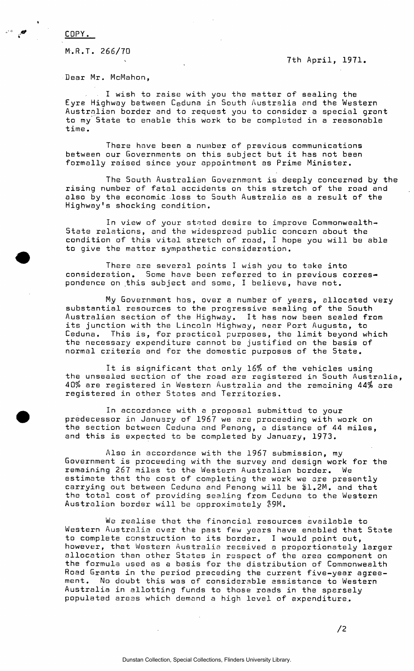COPY.

M.R.T. 266/70

7th April, 1971.

Dear Mr. McMahon,

I wish to raise with you the matter of sealing the Eyre Highway between Ceduna in South Australia and the Western Australian border and to request you to consider a special grant to my State to enable this work to be completed in a reasonable time.

There have been a number of previous communications between our Governments on this subject but it has not been formally raised since your appointment as Prime Minister.

The South Australian Government is deeply concerned by the rising number of fatal accidents on this stretch of the road and also by the economic loss to South Australia as a result of the Highway's shocking condition.

In view of your stated desire to improve Commonwealth-State relations, and the widespread public concern about the condition of this vital stretch of road, I hope you will be able to give the matter sympathetic consideration.

There are several points I wish you to take into consideration. Some have been referred to in previous correspondence on this subject and some, I believe, have not.

My Government has, over a number of years, allocated very substantial resources to the progressive sealing of the South Australian section of the Highway. It has now been sealed from its junction with the Lincoln Highway, near Port Augusta, to Ceduna. This is, for practical purposes, the limit beyond which the necessary expenditure cannot be justified on the basis of normal criteria and for the domestic purposes of the State.

It is significant that only 16% of the vehicles using the unsealed section of the road are registered in South Australia, 40% are registered in Western Australia and the remaining 44% are registered in other States and Territories.

In accordance with a proposal submitted to your predecessor in January of 1967 we are proceeding with work on the section between Ceduna and Penong, a distance of 44 miles, and this is expected to be completed by January, 1973.

Also in accordance with the 1967 submission, my Government is proceeding with the survey and design work for the remaining 267 miles to the Western Australian border. We estimate that the cost of completing the work we are presently carrying out between Ceduna and Penong will be \$1.2M. and that the total cost of providing sealing from Ceduna to the Western Australian border will be approximately \$9M.

We realise that the financial resources available to Western Australia over the past few years have enabled that State to complete construction to its border. I would point out, however, that Western Australia received a proportionately larger allocation than other States in respect of the area component on the formula used as a basis for the distribution of Commonwealth Road Grants in the period preceding the current five-year agreement. No doubt this was of considerable assistance to Western Australia in allotting funds to those roads in the sparsely populated areas which demand a high level of expenditure.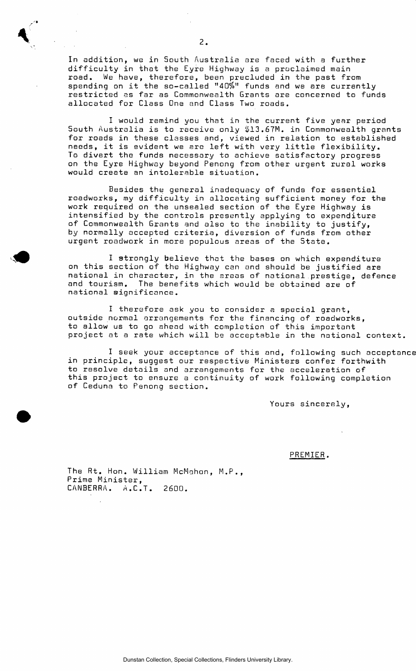In addition, we in South Australia are faced with a further difficulty in that the Eyre Highway is a proclaimed main road. We have, therefore, been precluded in the past from spending on it the so-called "40%" funds and we are currently restricted as far as Commonwealth Grants are concerned to funds allocated for Class One and Class Two roads.

I would remind you that in the current five year period South Australia is to receive only \$13.67M. in Commonwealth grants for roads in these classes and, viewed in relation to established needs, it is evident we are left with very little flexibility. To divert the funds necessary to achieve satisfactory progress on the Eyre Highway beyond Penong from other urgent rural works would create an intolerable situation.

Besides the general inadequacy of funds for essential roadworks, my difficulty in allocating sufficient money for the work required on the unsealed section of the Eyre Highway is intensified by the controls presently applying to expenditure of Commonwealth Grants and also to the inability to justify, by normally accepted criteria, diversion of funds from other urgent roadwork in more populous areas of the State.

I strongly believe that the bases on which expenditure on this section of the Highway can and should be justified are national in character, in the areas of national.prestige, defence and tourism. The benefits which would be obtained are of national significance.

I therefore ask you to consider a special grant, outside normal arrangements for the financing of roadworks, to allow us to go ahead with completion of this important project at a rate which will be acceptable in the national context.

I seek your acceptance of this and, following such acceptance in principle, suggest our respective Ministers confer forthwith to resolve details and arrangements for the acceleration of this project to ensure a continuity of work following completion of Ceduna to Penong section.

Yours sincerely,

PREMIER.

The Rt. Hon. William McMahon, M.P., Prime Minister, CANBERRA. A.C.T. 2600.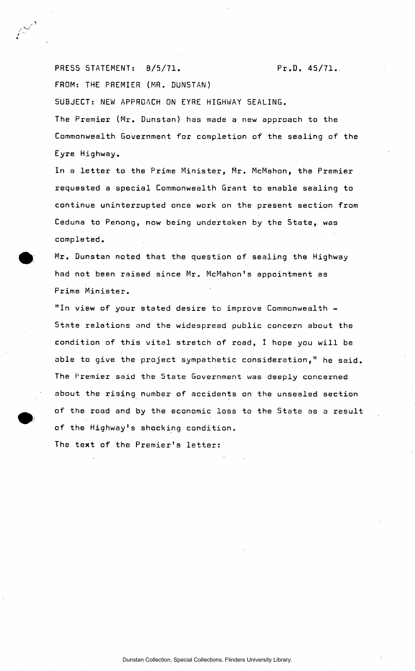PRESS STATEMENT: 8/5/71. Pr.D. 45/71. FROM: THE PREMIER (MR. DUNSTAN) SUBJECT: NEW APPROACH ON EYRE HIGHWAY SEALING. The Premier (Mr. Dunstan) has made a new approach to the Commonwealth Government for completion of the sealing of the Eyre Highway.

In a letter to the Prime Minister, Mr. McMahon, the Premier requested a special Commonwealth Grant to enable sealing to continue uninterrupted once work on the present section from Ceduna to Penong, now being undertaken by the State, was completed.

Mr. Dunstan noted that the question of sealing the Highway had not been raised since Mr. McMahon's appointment as Prime Minister.

"In view of your stated desire to improve Commonwealth - State relations and the widespread public concern about the condition of this vital stretch of road, I hope you will be able to give the project sympathetic consideration," he said. The Premier said the State Government was deeply concerned about the rising number of accidents on the unsealed section of the road and by the economic loss to the State as a result of the Highway's shocking condition.

The text of the Premier's letter: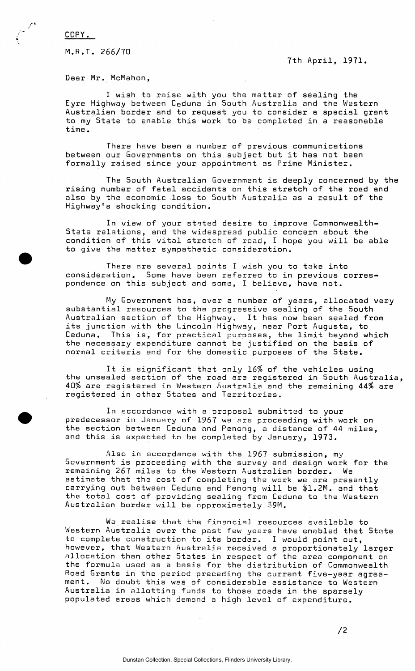COPY.

M.R.T. 266/TO

7th April, 1971.

Dear Mr. McMahon,

I wish to raise with you the matter of sealing the Eyre Highway between Ceduna in South Australia and the Western Australian border and to request you to consider a special grant to my State to enable this work to be completed in a reasonable time.

There have been a number of previous communications between our Governments on this subject but it has not been formally raised since your appointment as Prime Minister.

The South Australian Government is deeply concerned by the rising number of fatal accidents on this stretch of the road and also by the economic loss to South Australia as a result of the Highway's shocking condition.

In view of your stated desire to improve Commonwealth-State relations, and the widespread public concern about the condition of this vital stretch of road, I hope you will be able to give the matter sympathetic consideration.

There are several points I wish you to take into consideration. Some have been referred to in previous correspondence on this subject and some, I believe, have not.

My Government has, over a number of years, allocated very substantial resources to the progressive sealing of the South Australian section of the Highway. It has now been sealed from its junction with the Lincoln Highway, near Port Augusta, to Ceduna. This is, for practical purposes, the limit beyond which the necessary expenditure cannot be justified on the basis of normal criteria and for the domestic purposes of the State.

It is significant that only *16%* of the vehicles using the unsealed section of the road are registered in South Australia, 40% are registered in Western Australia and the remaining 44% are registered in other States and Territories.

In accordance with a proposal submitted to your predecessor in January of 1967 we are proceeding with work on the section between Ceduna and Penong, a distance of 44 miles, and this is expected to be completed by January, 1973.

Also in accordance with the 1967 submission, my Government is proceeding with the survey and design work for the remaining 267 miles to the Western Australian border. We estimate that the cost of completing the work we are presently carrying out between Ceduna and Penong will be \$1.2M. and that the total cost of providing sealing from Ceduna to the Western Australian border will be approximately \$9M.

We realise that the financial resources available to Western Australia over the past few years have enabled that State to complete construction to its border. I would point out, however, that Western Australia received a proportionately larger allocation than other States in respect of the area component on the formula used as a basis for the distribution of Commonwealth Road Grants in the period preceding the current five-year agreement. No doubt this was of considerable assistance to Western Australia in allotting funds to those roads in the sparsely populated areas which demand a high level of expenditure.